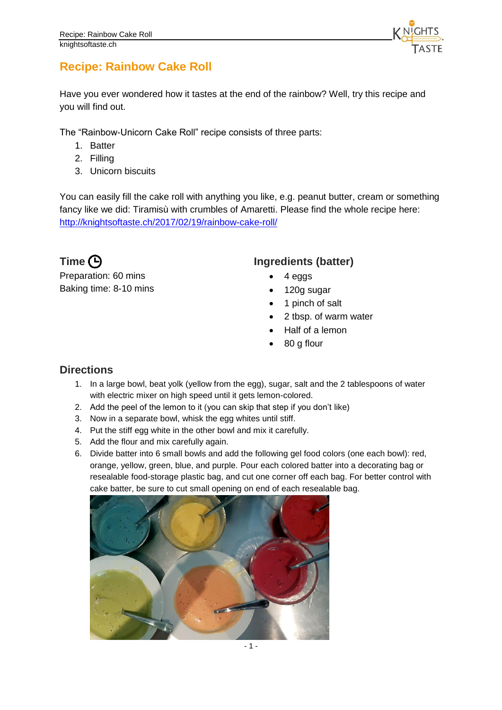

## **Recipe: Rainbow Cake Roll**

Have you ever wondered how it tastes at the end of the rainbow? Well, try this recipe and you will find out.

The "Rainbow-Unicorn Cake Roll" recipe consists of three parts:

- 1. Batter
- 2. Filling
- 3. Unicorn biscuits

You can easily fill the cake roll with anything you like, e.g. peanut butter, cream or something fancy like we did: Tiramisù with crumbles of Amaretti. Please find the whole recipe here: [http://knightsoftaste.ch/2017/02/19/rainbow-cake-roll/](http://knightsoftaste.ch/?p=353&preview=true)

Preparation: 60 mins Baking time: 8-10 mins

## **Time**  $\bigoplus$  **Ingredients** (batter)

- 4 eggs
- 120g sugar
- 1 pinch of salt
- 2 tbsp. of warm water
- Half of a lemon
- 80 g flour

## **Directions**

- 1. In a large bowl, beat yolk (yellow from the egg), sugar, salt and the 2 tablespoons of water with electric mixer on high speed until it gets lemon-colored.
- 2. Add the peel of the lemon to it (you can skip that step if you don't like)
- 3. Now in a separate bowl, whisk the egg whites until stiff.
- 4. Put the stiff egg white in the other bowl and mix it carefully.
- 5. Add the flour and mix carefully again.
- 6. Divide batter into 6 small bowls and add the following gel food colors (one each bowl): red, orange, yellow, green, blue, and purple. Pour each colored batter into a decorating bag or resealable food-storage plastic bag, and cut one corner off each bag. For better control with cake batter, be sure to cut small opening on end of each resealable bag.